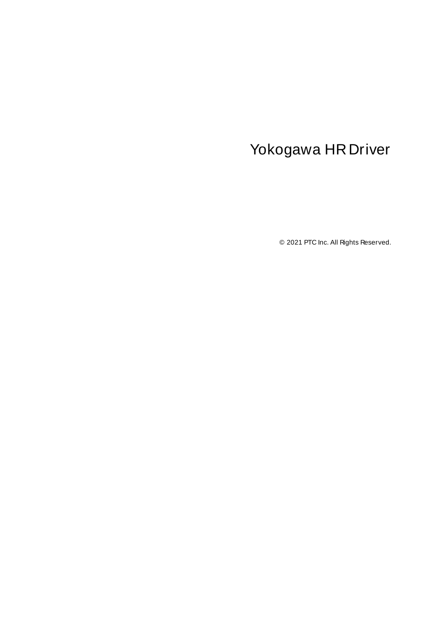# <span id="page-0-0"></span>Yokogawa HR Driver

© 2021 PTC Inc. All Rights Reserved.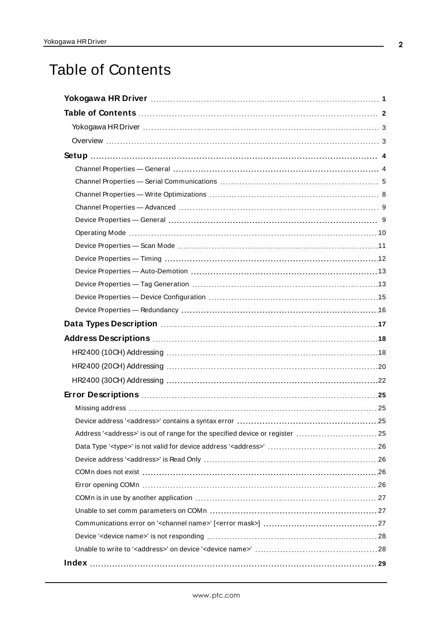# <span id="page-1-0"></span>Table of Contents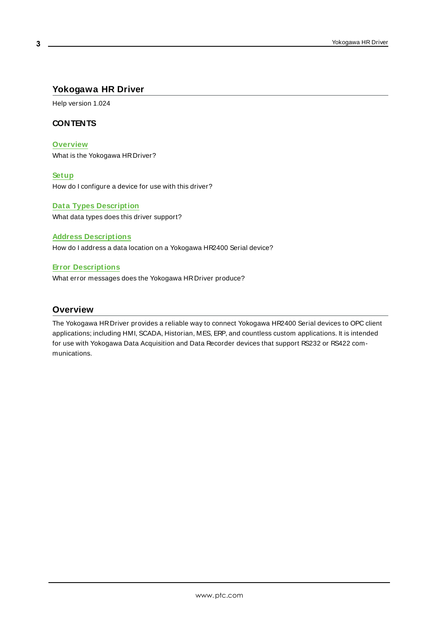# <span id="page-2-0"></span>**Yokogawa HR Driver**

Help version 1.024

# **CONTENTS**

**[Overview](#page-2-1)**

What is the Yokogawa HRDriver?

#### **[Setup](#page-3-0)**

How do I configure a device for use with this driver?

#### **Data Types [Description](#page-16-0)**

What data types does this driver support?

#### **Address [Descriptions](#page-17-0)**

How do I address a data location on a Yokogawa HR2400 Serial device?

#### **Error [Descriptions](#page-24-0)**

What error messages does the Yokogawa HRDriver produce?

# <span id="page-2-1"></span>**Overview**

The Yokogawa HRDriver provides a reliable way to connect Yokogawa HR2400 Serial devices to OPC client applications; including HMI, SCADA, Historian, MES, ERP, and countless custom applications. It is intended for use with Yokogawa Data Acquisition and Data Recorder devices that support RS232 or RS422 communications.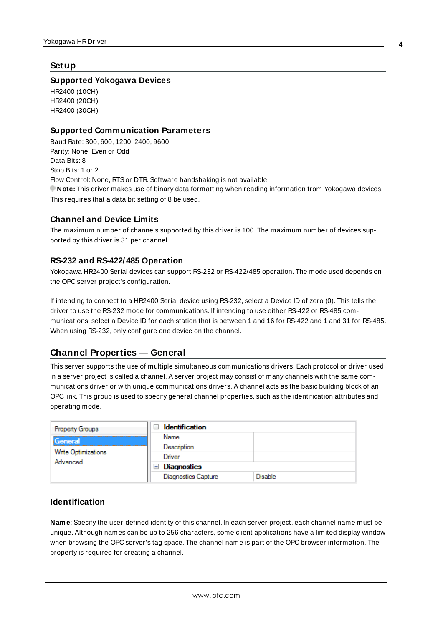## <span id="page-3-0"></span>**Setup**

#### **Supported Yokogawa Devices**

HR2400 (10CH) HR2400 (20CH) HR2400 (30CH)

#### <span id="page-3-2"></span>**Supported Communication Parameters**

<span id="page-3-7"></span><span id="page-3-6"></span><span id="page-3-5"></span><span id="page-3-3"></span>Baud Rate: 300, 600, 1200, 2400, 9600 Parity: None, Even or Odd Data Bits: 8 Stop Bits: 1 or 2 Flow Control: None, RTSor DTR. Software handshaking is not available. **Note:** This driver makes use of binary data formatting when reading information from Yokogawa devices. This requires that a data bit setting of 8 be used.

#### **Channel and Device Limits**

The maximum number of channels supported by this driver is 100. The maximum number of devices supported by this driver is 31 per channel.

#### **RS-232 and RS-422/485 Operation**

Yokogawa HR2400 Serial devices can support RS-232 or RS-422/485 operation. The mode used depends on the OPC server project's configuration.

<span id="page-3-4"></span>If intending to connect to a HR2400 Serial device using RS-232, select a Device ID of zero (0). This tells the driver to use the RS-232 mode for communications. If intending to use either RS-422 or RS-485 communications, select a Device ID for each station that is between 1 and 16 for RS-422 and 1 and 31 for RS-485. When using RS-232, only configure one device on the channel.

# <span id="page-3-1"></span>**Channel Properties — General**

This server supports the use of multiple simultaneous communications drivers. Each protocol or driver used in a server project is called a channel. A server project may consist of many channels with the same communications driver or with unique communications drivers. A channel acts as the basic building block of an OPC link. This group is used to specify general channel properties, such as the identification attributes and operating mode.

| <b>Property Groups</b>                     | <b>Identification</b><br>$\blacksquare$ |                |
|--------------------------------------------|-----------------------------------------|----------------|
| General<br>Write Optimizations<br>Advanced | Name                                    |                |
|                                            | Description                             |                |
|                                            | Driver                                  |                |
|                                            | Diagnostics<br>$\overline{}$            |                |
|                                            | <b>Diagnostics Capture</b>              | <b>Disable</b> |

# **Identification**

**Name**: Specify the user-defined identity of this channel. In each server project, each channel name must be unique. Although names can be up to 256 characters, some client applications have a limited display window when browsing the OPC server's tag space. The channel name is part of the OPC browser information. The property is required for creating a channel.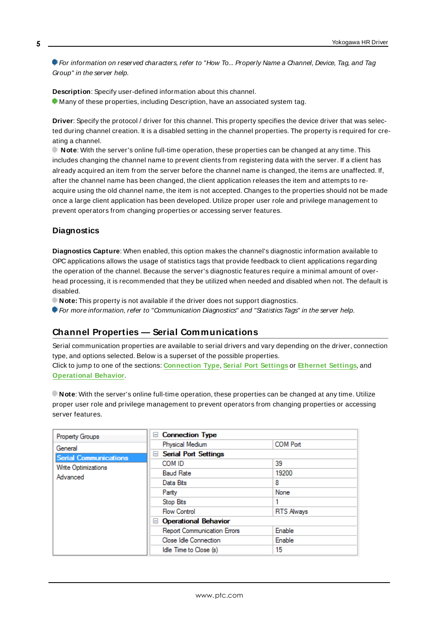For information on reserved characters, refer to "How To... Properly Name a Channel, Device, Tag, and Tag Group" in the server help.

**Description**: Specify user-defined information about this channel. **Many of these properties, including Description, have an associated system tag.** 

**Driver**: Specify the protocol / driver for this channel. This property specifies the device driver that was selected during channel creation. It is a disabled setting in the channel properties. The property is required for creating a channel.

**Note**: With the server's online full-time operation, these properties can be changed at any time. This includes changing the channel name to prevent clients from registering data with the server. If a client has already acquired an item from the server before the channel name is changed, the items are unaffected. If, after the channel name has been changed, the client application releases the item and attempts to reacquire using the old channel name, the item is not accepted. Changes to the properties should not be made once a large client application has been developed. Utilize proper user role and privilege management to prevent operators from changing properties or accessing server features.

#### **Diagnostics**

**Diagnostics Capture**: When enabled, this option makes the channel's diagnostic information available to OPC applications allows the usage of statistics tags that provide feedback to client applications regarding the operation of the channel. Because the server's diagnostic features require a minimal amount of overhead processing, it is recommended that they be utilized when needed and disabled when not. The default is disabled.

**Note:** This property is not available if the driver does not support diagnostics.

<span id="page-4-0"></span>For more information, refer to "Communication Diagnostics" and "Statistics Tags" in the server help.

# **Channel Properties — Serial Communications**

Serial communication properties are available to serial drivers and vary depending on the driver, connection type, and options selected. Below is a superset of the possible properties. Click to jump to one of the sections: **[Connection](#page-5-0) Type**, **Serial Port [Settings](#page-5-1)** or **[Ethernet](#page-6-0) Settings**, and **[Operational](#page-6-1) Behavior**.

**Note**: With the server's online full-time operation, these properties can be changed at any time. Utilize proper user role and privilege management to prevent operators from changing properties or accessing server features.

| Property Groups              | <b>Connection Type</b><br>$=$      |                   |
|------------------------------|------------------------------------|-------------------|
| General                      | Physical Medium                    | <b>COM Port</b>   |
| <b>Serial Communications</b> | <b>□ Serial Port Settings</b>      |                   |
| Write Optimizations          | COM ID                             | 39                |
| Advanced                     | <b>Baud Rate</b>                   | 19200             |
|                              | Data Bits                          | 8                 |
|                              | Parity                             | None              |
|                              | Stop Bits                          |                   |
|                              | <b>Flow Control</b>                | <b>RTS Always</b> |
|                              | □ Operational Behavior             |                   |
|                              | <b>Report Communication Errors</b> | Enable            |
|                              | Close Idle Connection              | Enable            |
|                              | Idle Time to Close (s)             | 15                |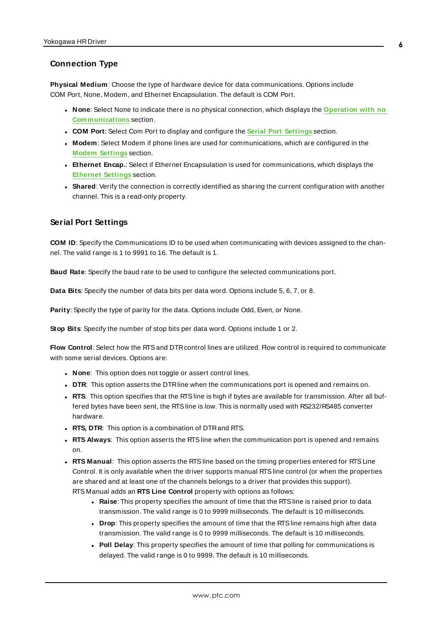#### <span id="page-5-0"></span>**Connection Type**

**Physical Medium**: Choose the type of hardware device for data communications. Options include COM Port, None, Modem, and Ethernet Encapsulation. The default is COM Port.

- <sup>l</sup> **None**: Select None to indicate there is no physical connection, which displays the **[Operation](#page-6-2) with no [Communications](#page-6-2)** section.
- <sup>l</sup> **COM Port**: Select Com Port to display and configure the **Serial Port [Settings](#page-5-1)** section.
- **Modem**: Select Modem if phone lines are used for communications, which are configured in the **Modem [Settings](#page-6-3)** section.
- **Ethernet Encap.**: Select if Ethernet Encapsulation is used for communications, which displays the **[Ethernet](#page-6-0) Settings** section.
- Shared: Verify the connection is correctly identified as sharing the current configuration with another channel. This is a read-only property.

#### <span id="page-5-1"></span>**Serial Port Settings**

**COM ID**: Specify the Communications ID to be used when communicating with devices assigned to the channel. The valid range is 1 to 9991 to 16. The default is 1.

**Baud Rate**: Specify the baud rate to be used to configure the selected communications port.

**Data Bits**: Specify the number of data bits per data word. Options include 5, 6, 7, or 8.

**Parity**: Specify the type of parity for the data. Options include Odd, Even, or None.

**Stop Bits**: Specify the number of stop bits per data word. Options include 1 or 2.

**Flow Control**: Select how the RTSand DTRcontrol lines are utilized. Flow control is required to communicate with some serial devices. Options are:

- **None:** This option does not toggle or assert control lines.
- **DTR:** This option asserts the DTR line when the communications port is opened and remains on.
- RTS: This option specifies that the RTS line is high if bytes are available for transmission. After all buffered bytes have been sent, the RTSline is low. This is normally used with RS232/RS485 converter hardware.
- **RTS, DTR:** This option is a combination of DTR and RTS.
- <sup>l</sup> **RTS Always**: This option asserts the RTSline when the communication port is opened and remains on.
- <sup>l</sup> **RTS Manual**: This option asserts the RTSline based on the timing properties entered for RTSLine Control. It is only available when the driver supports manual RTSline control (or when the properties are shared and at least one of the channels belongs to a driver that provides this support). RTS Manual adds an **RTS Line Control** property with options as follows:
	- **Raise**: This property specifies the amount of time that the RTS line is raised prior to data transmission. The valid range is 0 to 9999 milliseconds. The default is 10 milliseconds.
	- **Drop**: This property specifies the amount of time that the RTS line remains high after data transmission. The valid range is 0 to 9999 milliseconds. The default is 10 milliseconds.
	- Poll Delay: This property specifies the amount of time that polling for communications is delayed. The valid range is 0 to 9999. The default is 10 milliseconds.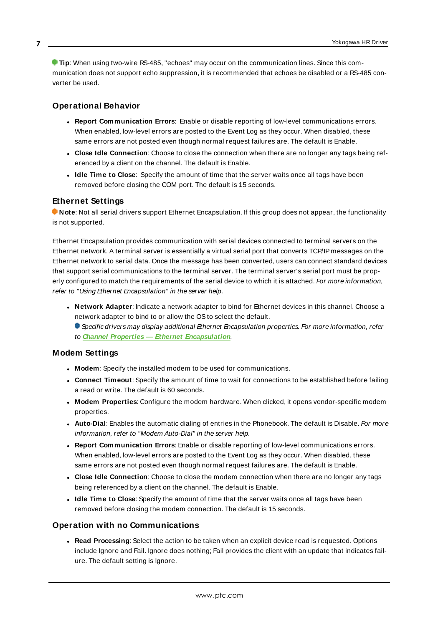**Tip**: When using two-wire RS-485, "echoes" may occur on the communication lines. Since this communication does not support echo suppression, it is recommended that echoes be disabled or a RS-485 converter be used.

# <span id="page-6-1"></span>**Operational Behavior**

- <sup>l</sup> **Report Communication Errors**: Enable or disable reporting of low-level communications errors. When enabled, low-level errors are posted to the Event Log as they occur. When disabled, these same errors are not posted even though normal request failures are. The default is Enable.
- <sup>l</sup> **Close Idle Connection**: Choose to close the connection when there are no longer any tags being referenced by a client on the channel. The default is Enable.
- <sup>l</sup> **Idle Time to Close**: Specify the amount of time that the server waits once all tags have been removed before closing the COM port. The default is 15 seconds.

#### <span id="page-6-0"></span>**Ethernet Settings**

**Note**: Not all serial drivers support Ethernet Encapsulation. If this group does not appear, the functionality is not supported.

Ethernet Encapsulation provides communication with serial devices connected to terminal servers on the Ethernet network. A terminal server is essentially a virtual serial port that converts TCP/IP messages on the Ethernet network to serial data. Once the message has been converted, users can connect standard devices that support serial communications to the terminal server. The terminal server's serial port must be properly configured to match the requirements of the serial device to which it is attached. For more information, refer to "Using Ethernet Encapsulation" in the server help.

- **· Network Adapter**: Indicate a network adapter to bind for Ethernet devices in this channel. Choose a network adapter to bind to or allow the OSto select the default.
	- Specific drivers may display additional Ethernet Encapsulation properties. For more information, refer to **Channel Properties — Ethernet Encapsulation**.

#### <span id="page-6-3"></span>**Modem Settings**

- **Modem**: Specify the installed modem to be used for communications.
- **Connect Timeout**: Specify the amount of time to wait for connections to be established before failing a read or write. The default is 60 seconds.
- <sup>l</sup> **Modem Properties**: Configure the modem hardware. When clicked, it opens vendor-specific modem properties.
- **.** Auto-Dial: Enables the automatic dialing of entries in the Phonebook. The default is Disable. For more information, refer to "Modem Auto-Dial" in the server help.
- <sup>l</sup> **Report Communication Errors**: Enable or disable reporting of low-level communications errors. When enabled, low-level errors are posted to the Event Log as they occur. When disabled, these same errors are not posted even though normal request failures are. The default is Enable.
- **Close Idle Connection**: Choose to close the modem connection when there are no longer any tags being referenced by a client on the channel. The default is Enable.
- <sup>l</sup> **Idle Time to Close**: Specify the amount of time that the server waits once all tags have been removed before closing the modem connection. The default is 15 seconds.

#### <span id="page-6-2"></span>**Operation with no Communications**

**Read Processing**: Select the action to be taken when an explicit device read is requested. Options include Ignore and Fail. Ignore does nothing; Fail provides the client with an update that indicates failure. The default setting is Ignore.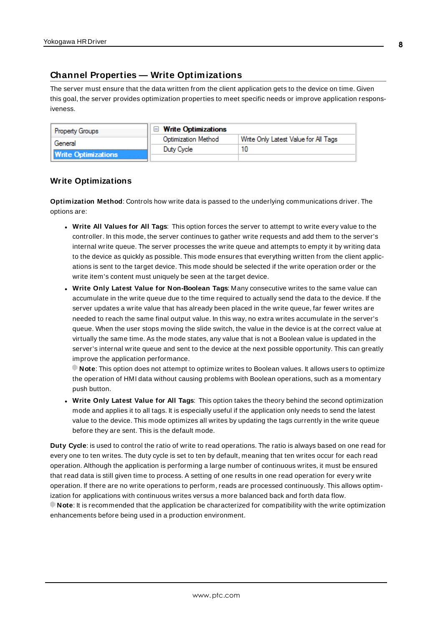# <span id="page-7-0"></span>**Channel Properties — Write Optimizations**

The server must ensure that the data written from the client application gets to the device on time. Given this goal, the server provides optimization properties to meet specific needs or improve application responsiveness.

| <b>Property Groups</b>     | $\Box$ Write Optimizations |                                      |
|----------------------------|----------------------------|--------------------------------------|
| General                    | <b>Optimization Method</b> | Write Only Latest Value for All Tags |
|                            | Duty Cycle                 |                                      |
| <b>Write Optimizations</b> |                            |                                      |

#### **Write Optimizations**

**Optimization Method**: Controls how write data is passed to the underlying communications driver. The options are:

- <sup>l</sup> **Write All Values for All Tags**: This option forces the server to attempt to write every value to the controller. In this mode, the server continues to gather write requests and add them to the server's internal write queue. The server processes the write queue and attempts to empty it by writing data to the device as quickly as possible. This mode ensures that everything written from the client applications is sent to the target device. This mode should be selected if the write operation order or the write item's content must uniquely be seen at the target device.
- **.** Write Only Latest Value for Non-Boolean Tags: Many consecutive writes to the same value can accumulate in the write queue due to the time required to actually send the data to the device. If the server updates a write value that has already been placed in the write queue, far fewer writes are needed to reach the same final output value. In this way, no extra writes accumulate in the server's queue. When the user stops moving the slide switch, the value in the device is at the correct value at virtually the same time. As the mode states, any value that is not a Boolean value is updated in the server's internal write queue and sent to the device at the next possible opportunity. This can greatly improve the application performance.

**Note**: This option does not attempt to optimize writes to Boolean values. It allows users to optimize the operation of HMI data without causing problems with Boolean operations, such as a momentary push button.

**• Write Only Latest Value for All Tags**: This option takes the theory behind the second optimization mode and applies it to all tags. It is especially useful if the application only needs to send the latest value to the device. This mode optimizes all writes by updating the tags currently in the write queue before they are sent. This is the default mode.

**Duty Cycle**: is used to control the ratio of write to read operations. The ratio is always based on one read for every one to ten writes. The duty cycle is set to ten by default, meaning that ten writes occur for each read operation. Although the application is performing a large number of continuous writes, it must be ensured that read data is still given time to process. A setting of one results in one read operation for every write operation. If there are no write operations to perform, reads are processed continuously. This allows optimization for applications with continuous writes versus a more balanced back and forth data flow. **Note**: It is recommended that the application be characterized for compatibility with the write optimization enhancements before being used in a production environment.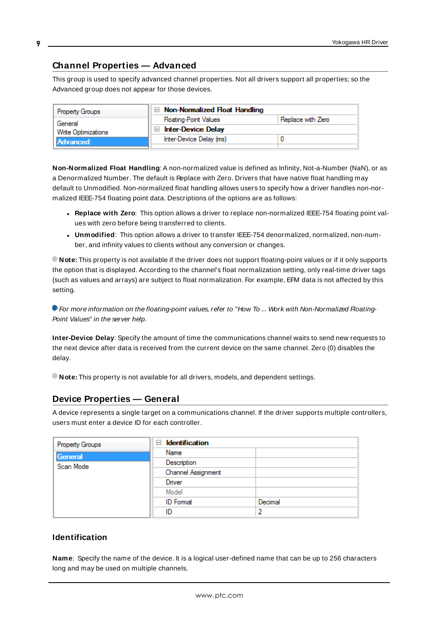# <span id="page-8-0"></span>**Channel Properties — Advanced**

This group is used to specify advanced channel properties. Not all drivers support all properties; so the Advanced group does not appear for those devices.

| <b>Property Groups</b>          | $\Box$ Non-Normalized Float Handling        |                   |
|---------------------------------|---------------------------------------------|-------------------|
| General                         | <b>Floating-Point Values</b>                | Replace with Zero |
| Write Optimizations<br>Advanced | <b>Inter-Device Delay</b><br>$\blacksquare$ |                   |
|                                 | Inter-Device Delay (ms)                     |                   |
|                                 |                                             |                   |

**Non-Normalized Float Handling**: A non-normalized value is defined as Infinity, Not-a-Number (NaN), or as a Denormalized Number. The default is Replace with Zero. Drivers that have native float handling may default to Unmodified. Non-normalized float handling allows users to specify how a driver handles non-normalized IEEE-754 floating point data. Descriptions of the options are as follows:

- <sup>l</sup> **Replace with Zero**: This option allows a driver to replace non-normalized IEEE-754 floating point values with zero before being transferred to clients.
- <sup>l</sup> **Unmodified**: This option allows a driver to transfer IEEE-754 denormalized, normalized, non-number, and infinity values to clients without any conversion or changes.

**Note:** This property is not available if the driver does not support floating-point values or if it only supports the option that is displayed. According to the channel's float normalization setting, only real-time driver tags (such as values and arrays) are subject to float normalization. For example, EFM data is not affected by this setting.

For more information on the floating-point values, refer to "How To ... Work with Non-Normalized Floating-Point Values" in the server help.

**Inter-Device Delay**: Specify the amount of time the communications channel waits to send new requests to the next device after data is received from the current device on the same channel. Zero (0) disables the delay.

<span id="page-8-1"></span>**Note:** This property is not available for all drivers, models, and dependent settings.

# **Device Properties — General**

A device represents a single target on a communications channel. If the driver supports multiple controllers, users must enter a device ID for each controller.

| Property Groups | <b>Identification</b><br>- |         |
|-----------------|----------------------------|---------|
| General         | Name                       |         |
| Scan Mode       | Description                |         |
|                 | Channel Assignment         |         |
|                 | Driver                     |         |
|                 | Model                      |         |
|                 | <b>ID</b> Format           | Decimal |
|                 | ID                         |         |

# **Identification**

<span id="page-8-2"></span>**Name**: Specify the name of the device. It is a logical user-defined name that can be up to 256 characters long and may be used on multiple channels.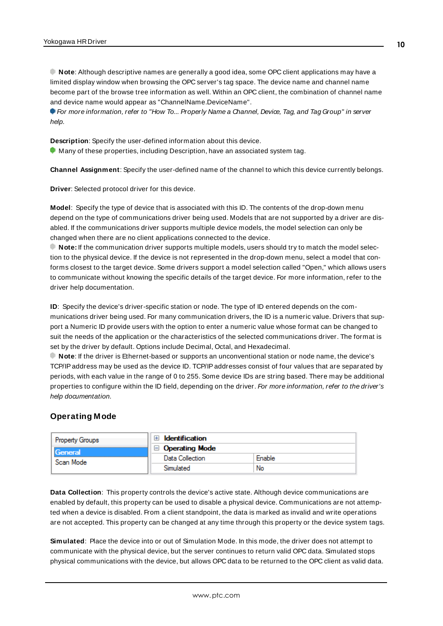**Note**: Although descriptive names are generally a good idea, some OPC client applications may have a limited display window when browsing the OPC server's tag space. The device name and channel name become part of the browse tree information as well. Within an OPC client, the combination of channel name and device name would appear as "ChannelName.DeviceName".

For more information, refer to "How To... Properly Name a Channel, Device, Tag, and Tag Group" in server help.

**Description**: Specify the user-defined information about this device.

<span id="page-9-1"></span>**Many of these properties, including Description, have an associated system tag.** 

<span id="page-9-3"></span>**Channel Assignment**: Specify the user-defined name of the channel to which this device currently belongs.

<span id="page-9-5"></span>**Driver**: Selected protocol driver for this device.

**Model**: Specify the type of device that is associated with this ID. The contents of the drop-down menu depend on the type of communications driver being used. Models that are not supported by a driver are disabled. If the communications driver supports multiple device models, the model selection can only be changed when there are no client applications connected to the device.

**Note:** If the communication driver supports multiple models, users should try to match the model selection to the physical device. If the device is not represented in the drop-down menu, select a model that conforms closest to the target device. Some drivers support a model selection called "Open," which allows users to communicate without knowing the specific details of the target device. For more information, refer to the driver help documentation.

<span id="page-9-4"></span>**ID**: Specify the device's driver-specific station or node. The type of ID entered depends on the communications driver being used. For many communication drivers, the ID is a numeric value. Drivers that support a Numeric ID provide users with the option to enter a numeric value whose format can be changed to suit the needs of the application or the characteristics of the selected communications driver. The format is set by the driver by default. Options include Decimal, Octal, and Hexadecimal.

**Note**: If the driver is Ethernet-based or supports an unconventional station or node name, the device's TCP/IPaddress may be used as the device ID. TCP/IPaddresses consist of four values that are separated by periods, with each value in the range of 0 to 255. Some device IDs are string based. There may be additional properties to configure within the ID field, depending on the driver. For more information, refer to the driver's help documentation.

# <span id="page-9-0"></span>**Operating Mode**

| <b>Property Groups</b><br>General<br>Scan Mode | Identification        |        |
|------------------------------------------------|-----------------------|--------|
|                                                | <b>Operating Mode</b> |        |
|                                                | Data Collection       | Enable |
|                                                | Simulated             | No     |

<span id="page-9-2"></span>**Data Collection**: This property controls the device's active state. Although device communications are enabled by default, this property can be used to disable a physical device. Communications are not attempted when a device is disabled. From a client standpoint, the data is marked as invalid and write operations are not accepted. This property can be changed at any time through this property or the device system tags.

**Simulated**: Place the device into or out of Simulation Mode. In this mode, the driver does not attempt to communicate with the physical device, but the server continues to return valid OPC data. Simulated stops physical communications with the device, but allows OPC data to be returned to the OPC client as valid data.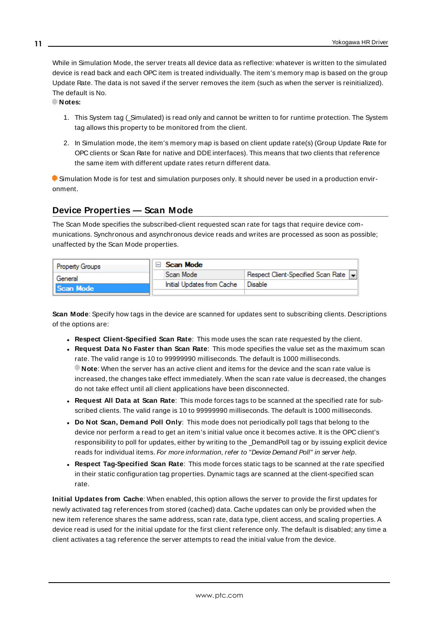<span id="page-10-5"></span>While in Simulation Mode, the server treats all device data as reflective: whatever is written to the simulated device is read back and each OPC item is treated individually. The item's memory map is based on the group Update Rate. The data is not saved if the server removes the item (such as when the server is reinitialized). The default is No.

**Notes:**

- 1. This System tag (\_Simulated) is read only and cannot be written to for runtime protection. The System tag allows this property to be monitored from the client.
- 2. In Simulation mode, the item's memory map is based on client update rate(s) (Group Update Rate for OPC clients or Scan Rate for native and DDEinterfaces). This means that two clients that reference the same item with different update rates return different data.

 Simulation Mode is for test and simulation purposes only. It should never be used in a production environment.

# <span id="page-10-0"></span>**Device Properties — Scan Mode**

The Scan Mode specifies the subscribed-client requested scan rate for tags that require device communications. Synchronous and asynchronous device reads and writes are processed as soon as possible; unaffected by the Scan Mode properties.

| <b>Property Groups</b> | $\Box$ Scan Mode           |                                    |
|------------------------|----------------------------|------------------------------------|
| General                | Scan Mode                  | Respect Client-Specified Scan Rate |
| Scan Mode              | Initial Updates from Cache | ' Disable                          |
|                        |                            |                                    |

<span id="page-10-4"></span>**Scan Mode**: Specify how tags in the device are scanned for updates sent to subscribing clients. Descriptions of the options are:

- <sup>l</sup> **Respect Client-Specified Scan Rate**: This mode uses the scan rate requested by the client.
- <sup>l</sup> **Request Data No Faster than Scan Rate**: This mode specifies the value set as the maximum scan rate. The valid range is 10 to 99999990 milliseconds. The default is 1000 milliseconds. **Note**: When the server has an active client and items for the device and the scan rate value is increased, the changes take effect immediately. When the scan rate value is decreased, the changes do not take effect until all client applications have been disconnected.
- <sup>l</sup> **Request All Data at Scan Rate**: This mode forces tags to be scanned at the specified rate for subscribed clients. The valid range is 10 to 99999990 milliseconds. The default is 1000 milliseconds.
- <span id="page-10-1"></span><sup>l</sup> **Do Not Scan, Demand Poll Only**: This mode does not periodically poll tags that belong to the device nor perform a read to get an item's initial value once it becomes active. It is the OPC client's responsibility to poll for updates, either by writing to the \_DemandPoll tag or by issuing explicit device reads for individual items. For more information, refer to "Device Demand Poll" in server help.
- <span id="page-10-3"></span><sup>l</sup> **Respect Tag-Specified Scan Rate**: This mode forces static tags to be scanned at the rate specified in their static configuration tag properties. Dynamic tags are scanned at the client-specified scan rate.

<span id="page-10-2"></span>**Initial Updates from Cache**: When enabled, this option allows the server to provide the first updates for newly activated tag references from stored (cached) data. Cache updates can only be provided when the new item reference shares the same address, scan rate, data type, client access, and scaling properties. A device read is used for the initial update for the first client reference only. The default is disabled; any time a client activates a tag reference the server attempts to read the initial value from the device.

**11**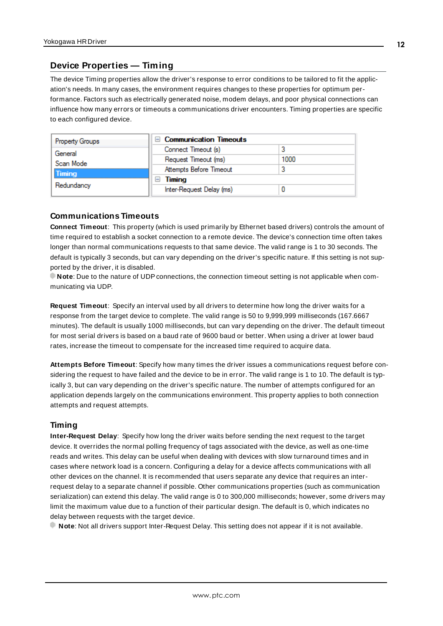# <span id="page-11-2"></span><span id="page-11-0"></span>**Device Properties — Timing**

The device Timing properties allow the driver's response to error conditions to be tailored to fit the application's needs. In many cases, the environment requires changes to these properties for optimum performance. Factors such as electrically generated noise, modem delays, and poor physical connections can influence how many errors or timeouts a communications driver encounters. Timing properties are specific to each configured device.

| <b>Property Groups</b> | $\Box$ Communication Timeouts |      |
|------------------------|-------------------------------|------|
| General                | Connect Timeout (s)           |      |
| Scan Mode              | Request Timeout (ms)          | 1000 |
| Timing                 | Attempts Before Timeout       |      |
| Redundancy             | Timing                        |      |
|                        | Inter-Request Delay (ms)      |      |

#### <span id="page-11-3"></span>**Communications Timeouts**

**Connect Timeout**: This property (which is used primarily by Ethernet based drivers) controls the amount of time required to establish a socket connection to a remote device. The device's connection time often takes longer than normal communications requests to that same device. The valid range is 1 to 30 seconds. The default is typically 3 seconds, but can vary depending on the driver's specific nature. If this setting is not supported by the driver, it is disabled.

**Note**: Due to the nature of UDPconnections, the connection timeout setting is not applicable when communicating via UDP.

<span id="page-11-5"></span>**Request Timeout**: Specify an interval used by all drivers to determine how long the driver waits for a response from the target device to complete. The valid range is 50 to 9,999,999 milliseconds (167.6667 minutes). The default is usually 1000 milliseconds, but can vary depending on the driver. The default timeout for most serial drivers is based on a baud rate of 9600 baud or better. When using a driver at lower baud rates, increase the timeout to compensate for the increased time required to acquire data.

<span id="page-11-1"></span>**Attempts Before Timeout**: Specify how many times the driver issues a communications request before considering the request to have failed and the device to be in error. The valid range is 1 to 10. The default is typically 3, but can vary depending on the driver's specific nature. The number of attempts configured for an application depends largely on the communications environment. This property applies to both connection attempts and request attempts.

#### <span id="page-11-4"></span>**Timing**

**Inter-Request Delay**: Specify how long the driver waits before sending the next request to the target device. It overrides the normal polling frequency of tags associated with the device, as well as one-time reads and writes. This delay can be useful when dealing with devices with slow turnaround times and in cases where network load is a concern. Configuring a delay for a device affects communications with all other devices on the channel. It is recommended that users separate any device that requires an interrequest delay to a separate channel if possible. Other communications properties (such as communication serialization) can extend this delay. The valid range is 0 to 300,000 milliseconds; however, some drivers may limit the maximum value due to a function of their particular design. The default is 0, which indicates no delay between requests with the target device.

**Note**: Not all drivers support Inter-Request Delay. This setting does not appear if it is not available.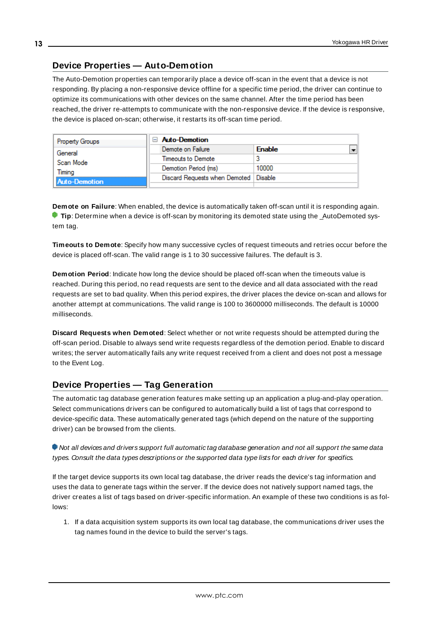# <span id="page-12-0"></span>**Device Properties — Auto-Demotion**

The Auto-Demotion properties can temporarily place a device off-scan in the event that a device is not responding. By placing a non-responsive device offline for a specific time period, the driver can continue to optimize its communications with other devices on the same channel. After the time period has been reached, the driver re-attempts to communicate with the non-responsive device. If the device is responsive, the device is placed on-scan; otherwise, it restarts its off-scan time period.

| <b>Property Groups</b> | $\Box$ Auto-Demotion                    |                                           |
|------------------------|-----------------------------------------|-------------------------------------------|
| General                | Demote on Failure                       | $\overline{\phantom{a}}$<br><b>Enable</b> |
| Scan Mode              | Timeouts to Demote                      | 3                                         |
| Timina                 | Demotion Period (ms)                    | 10000                                     |
| <b>Auto-Demotion</b>   | Discard Requests when Demoted   Disable |                                           |
|                        |                                         |                                           |

<span id="page-12-2"></span>**Demote on Failure**: When enabled, the device is automatically taken off-scan until it is responding again. **Tip**: Determine when a device is off-scan by monitoring its demoted state using the AutoDemoted system tag.

<span id="page-12-5"></span>**Timeouts to Demote**: Specify how many successive cycles of request timeouts and retries occur before the device is placed off-scan. The valid range is 1 to 30 successive failures. The default is 3.

<span id="page-12-3"></span>**Demotion Period**: Indicate how long the device should be placed off-scan when the timeouts value is reached. During this period, no read requests are sent to the device and all data associated with the read requests are set to bad quality. When this period expires, the driver places the device on-scan and allows for another attempt at communications. The valid range is 100 to 3600000 milliseconds. The default is 10000 milliseconds.

<span id="page-12-4"></span>**Discard Requests when Demoted**: Select whether or not write requests should be attempted during the off-scan period. Disable to always send write requests regardless of the demotion period. Enable to discard writes; the server automatically fails any write request received from a client and does not post a message to the Event Log.

# <span id="page-12-1"></span>**Device Properties — Tag Generation**

The automatic tag database generation features make setting up an application a plug-and-play operation. Select communications drivers can be configured to automatically build a list of tags that correspond to device-specific data. These automatically generated tags (which depend on the nature of the supporting driver) can be browsed from the clients.

Not all devices and drivers support full automatic tag database generation and not all support the same data types. Consult the data types descriptions or the supported data type lists for each driver for specifics.

If the target device supports its own local tag database, the driver reads the device's tag information and uses the data to generate tags within the server. If the device does not natively support named tags, the driver creates a list of tags based on driver-specific information. An example of these two conditions is as follows:

1. If a data acquisition system supports its own local tag database, the communications driver uses the tag names found in the device to build the server's tags.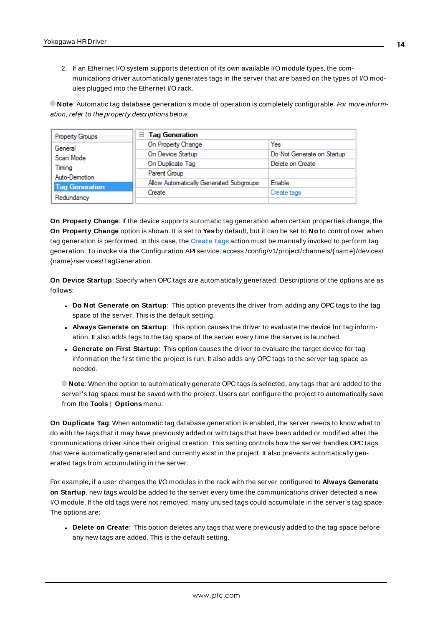2. If an Ethernet I/O system supports detection of its own available I/O module types, the communications driver automatically generates tags in the server that are based on the types of I/O modules plugged into the Ethernet I/O rack.

**Note**: Automatic tag database generation's mode of operation is completely configurable. For more information, refer to the property descriptions below.

| Property Groups       | <b>Tag Generation</b><br>6              |                            |
|-----------------------|-----------------------------------------|----------------------------|
| General               | On Property Change                      | Yes                        |
| Scan Mode             | On Device Startup                       | Do Not Generate on Startup |
| Timina                | On Duplicate Tag                        | Delete on Create           |
| Auto-Demotion         | Parent Group                            |                            |
| <b>Tag Generation</b> | Allow Automatically Generated Subgroups | Enable                     |
|                       | Create                                  | Create tags                |
| Redundancy            |                                         |                            |

<span id="page-13-4"></span>**On Property Change**: If the device supports automatic tag generation when certain properties change, the **On Property Change** option is shown. It is set to **Yes** by default, but it can be set to **No** to control over when tag generation is performed. In this case, the **Create tags** action must be manually invoked to perform tag generation. To invoke via the Configuration API service, access /config/v1/project/channels/{name}/devices/ {name}/services/TagGeneration.

<span id="page-13-2"></span>**On Device Startup**: Specify when OPC tags are automatically generated. Descriptions of the options are as follows:

- <span id="page-13-1"></span><sup>l</sup> **Do Not Generate on Startup**: This option prevents the driver from adding any OPC tags to the tag space of the server. This is the default setting.
- <sup>l</sup> **Always Generate on Startup**: This option causes the driver to evaluate the device for tag information. It also adds tags to the tag space of the server every time the server is launched.
- <sup>l</sup> **Generate on First Startup**: This option causes the driver to evaluate the target device for tag information the first time the project is run. It also adds any OPC tags to the server tag space as needed.

**Note**: When the option to automatically generate OPC tags is selected, any tags that are added to the server's tag space must be saved with the project. Users can configure the project to automatically save from the **Tools** | **Options** menu.

<span id="page-13-3"></span>**On Duplicate Tag**: When automatic tag database generation is enabled, the server needs to know what to do with the tags that it may have previously added or with tags that have been added or modified after the communications driver since their original creation. This setting controls how the server handles OPC tags that were automatically generated and currently exist in the project. It also prevents automatically generated tags from accumulating in the server.

For example, if a user changes the I/O modules in the rack with the server configured to **Always Generate on Startup**, new tags would be added to the server every time the communications driver detected a new I/O module. If the old tags were not removed, many unused tags could accumulate in the server's tag space. The options are:

<span id="page-13-0"></span>**.** Delete on Create: This option deletes any tags that were previously added to the tag space before any new tags are added. This is the default setting.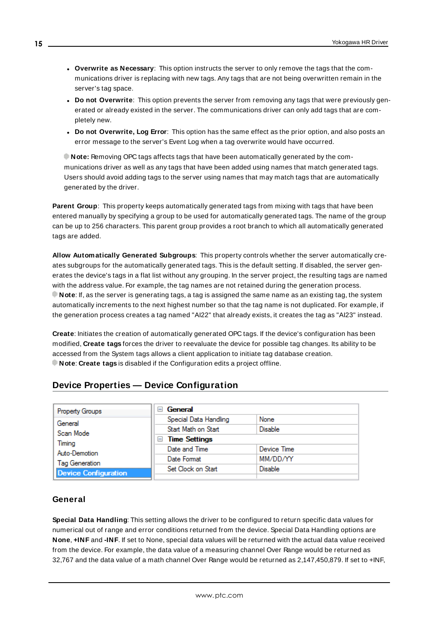- <span id="page-14-4"></span><sup>l</sup> **Overwrite as Necessary**: This option instructs the server to only remove the tags that the communications driver is replacing with new tags. Any tags that are not being overwritten remain in the server's tag space.
- <sup>l</sup> **Do not Overwrite**: This option prevents the server from removing any tags that were previously generated or already existed in the server. The communications driver can only add tags that are completely new.
- <sup>l</sup> **Do not Overwrite, Log Error**: This option has the same effect as the prior option, and also posts an error message to the server's Event Log when a tag overwrite would have occurred.

**Note:** Removing OPC tags affects tags that have been automatically generated by the communications driver as well as any tags that have been added using names that match generated tags. Users should avoid adding tags to the server using names that may match tags that are automatically generated by the driver.

<span id="page-14-5"></span>**Parent Group**: This property keeps automatically generated tags from mixing with tags that have been entered manually by specifying a group to be used for automatically generated tags. The name of the group can be up to 256 characters. This parent group provides a root branch to which all automatically generated tags are added.

<span id="page-14-1"></span>**Allow Automatically Generated Subgroups**: This property controls whether the server automatically creates subgroups for the automatically generated tags. This is the default setting. If disabled, the server generates the device's tags in a flat list without any grouping. In the server project, the resulting tags are named with the address value. For example, the tag names are not retained during the generation process. **Note**: If, as the server is generating tags, a tag is assigned the same name as an existing tag, the system automatically increments to the next highest number so that the tag name is not duplicated. For example, if the generation process creates a tag named "AI22" that already exists, it creates the tag as "AI23" instead.

<span id="page-14-2"></span>**Create**: Initiates the creation of automatically generated OPC tags. If the device's configuration has been modified, **Create tags** forces the driver to reevaluate the device for possible tag changes. Its ability to be accessed from the System tags allows a client application to initiate tag database creation. **Note**: **Create tags** is disabled if the Configuration edits a project offline.

# <span id="page-14-0"></span>**Device Properties — Device Configuration**

| Property Groups             | General<br>$=$              |                |
|-----------------------------|-----------------------------|----------------|
| General                     | Special Data Handling       | None           |
| Scan Mode                   | Start Math on Start         | <b>Disable</b> |
|                             | <b>Time Settings</b><br>$=$ |                |
| Timing<br>Auto-Demotion     | Date and Time               | Device Time    |
| <b>Tag Generation</b>       | Date Format                 | MM/DD/YY       |
|                             | Set Clock on Start          | <b>Disable</b> |
| <b>Device Configuration</b> |                             |                |

#### <span id="page-14-3"></span>**General**

**Special Data Handling**: This setting allows the driver to be configured to return specific data values for numerical out of range and error conditions returned from the device. Special Data Handling options are **None**, **+INF** and **-INF**. If set to None, special data values will be returned with the actual data value received from the device. For example, the data value of a measuring channel Over Range would be returned as 32,767 and the data value of a math channel Over Range would be returned as 2,147,450,879. If set to +INF,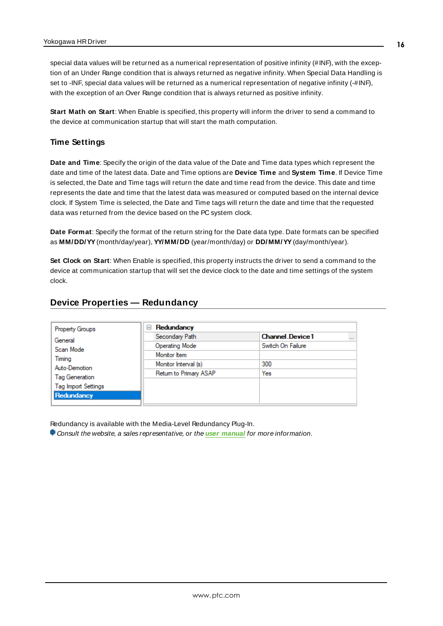special data values will be returned as a numerical representation of positive infinity (#INF), with the exception of an Under Range condition that is always returned as negative infinity. When Special Data Handling is set to -INF, special data values will be returned as a numerical representation of negative infinity (-#INF), with the exception of an Over Range condition that is always returned as positive infinity.

<span id="page-15-3"></span>**Start Math on Start**: When Enable is specified, this property will inform the driver to send a command to the device at communication startup that will start the math computation.

# **Time Settings**

**Date and Time**: Specify the origin of the data value of the Date and Time data types which represent the date and time of the latest data. Date and Time options are **Device Time** and **System Time**. If Device Time is selected, the Date and Time tags will return the date and time read from the device. This date and time represents the date and time that the latest data was measured or computed based on the internal device clock. If System Time is selected, the Date and Time tags will return the date and time that the requested data was returned from the device based on the PC system clock.

<span id="page-15-2"></span>**Date Format**: Specify the format of the return string for the Date data type. Date formats can be specified as **MM/DD/YY**(month/day/year), **YY/MM/DD** (year/month/day) or **DD/MM/YY**(day/month/year).

<span id="page-15-1"></span>**Set Clock on Start**: When Enable is specified, this property instructs the driver to send a command to the device at communication startup that will set the device clock to the date and time settings of the system clock.

# <span id="page-15-0"></span>**Device Properties — Redundancy**

| Redundancy<br>$=$      |                                    |
|------------------------|------------------------------------|
| Secondary Path         | <b>Channel Device1</b><br>$\cdots$ |
| <b>Operating Mode</b>  | Switch On Failure                  |
| Monitor Item           |                                    |
| Monitor Interval (s)   | 300                                |
| Return to Primary ASAP | Yes                                |
|                        |                                    |
|                        |                                    |
|                        |                                    |

Redundancy is available with the Media-Level Redundancy Plug-In.

Consult the website, a sales representative, or the **user [manual](https://www.kepware.com/getattachment/35461efd-b53a-4219-a109-a89fad20b230/media-level-redundancy-manual.pdf)** for more information.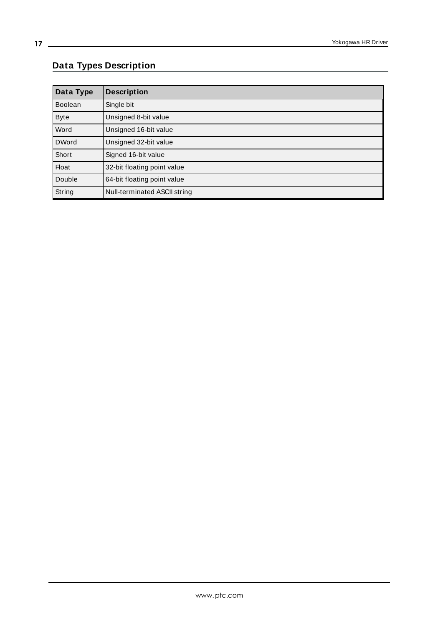# <span id="page-16-0"></span>**Data Types Description**

<span id="page-16-5"></span><span id="page-16-4"></span><span id="page-16-3"></span><span id="page-16-2"></span><span id="page-16-1"></span>

| Data Type      | <b>Description</b>           |
|----------------|------------------------------|
| <b>Boolean</b> | Single bit                   |
| <b>Byte</b>    | Unsigned 8-bit value         |
| Word           | Unsigned 16-bit value        |
| <b>DWord</b>   | Unsigned 32-bit value        |
| Short          | Signed 16-bit value          |
| <b>Float</b>   | 32-bit floating point value  |
| Double         | 64-bit floating point value  |
| String         | Null-terminated ASCII string |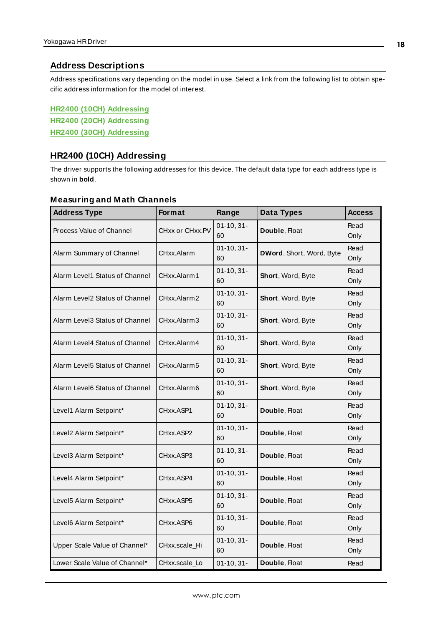#### <span id="page-17-0"></span>**Address Descriptions**

Address specifications vary depending on the model in use. Select a link from the following list to obtain specific address information for the model of interest.

**HR2400 (10CH) [Addressing](#page-17-1) HR2400 (20CH) [Addressing](#page-19-0) HR2400 (30CH) [Addressing](#page-21-0)**

# <span id="page-17-1"></span>**HR2400 (10CH) Addressing**

The driver supports the following addresses for this device. The default data type for each address type is shown in **bold**.

#### **Measuring and Math Channels**

| <b>Address Type</b>            | Format          | Range              | <b>Data Types</b>        | <b>Access</b> |
|--------------------------------|-----------------|--------------------|--------------------------|---------------|
| Process Value of Channel       | CHxx or CHxx.PV | $01-10, 31-$<br>60 | Double, Float            | Read<br>Only  |
| Alarm Summary of Channel       | CHxx.Alarm      | $01-10, 31-$<br>60 | DWord, Short, Word, Byte | Read<br>Only  |
| Alarm Level1 Status of Channel | CHxx.Alarm1     | $01-10, 31-$<br>60 | Short, Word, Byte        | Read<br>Only  |
| Alarm Level2 Status of Channel | CHxx.Alarm2     | $01-10, 31-$<br>60 | Short, Word, Byte        | Read<br>Only  |
| Alarm Level3 Status of Channel | CHxx.Alarm3     | $01-10, 31-$<br>60 | Short, Word, Byte        | Read<br>Only  |
| Alarm Level4 Status of Channel | CHxx.Alarm4     | $01-10, 31-$<br>60 | Short, Word, Byte        | Read<br>Only  |
| Alarm Level5 Status of Channel | CHxx.Alarm5     | $01-10, 31-$<br>60 | Short, Word, Byte        | Read<br>Only  |
| Alarm Level6 Status of Channel | CHxx.Alarm6     | $01-10, 31-$<br>60 | Short, Word, Byte        | Read<br>Only  |
| Level1 Alarm Setpoint*         | CHxx.ASP1       | $01-10, 31-$<br>60 | Double, Float            | Read<br>Only  |
| Level2 Alarm Setpoint*         | CHxx.ASP2       | $01-10, 31-$<br>60 | Double, Float            | Read<br>Only  |
| Level3 Alarm Setpoint*         | CHxx.ASP3       | $01-10, 31-$<br>60 | Double, Float            | Read<br>Only  |
| Level4 Alarm Setpoint*         | CHxx.ASP4       | $01-10, 31-$<br>60 | Double, Float            | Read<br>Only  |
| Level5 Alarm Setpoint*         | CHxx.ASP5       | $01-10, 31-$<br>60 | Double, Float            | Read<br>Only  |
| Level6 Alarm Setpoint*         | CHxx.ASP6       | $01-10, 31-$<br>60 | Double, Float            | Read<br>Only  |
| Upper Scale Value of Channel*  | CHxx.scale_Hi   | $01-10, 31-$<br>60 | Double, Float            | Read<br>Only  |
| Lower Scale Value of Channel*  | CHxx.scale_Lo   | $01-10, 31-$       | Double, Float            | Read          |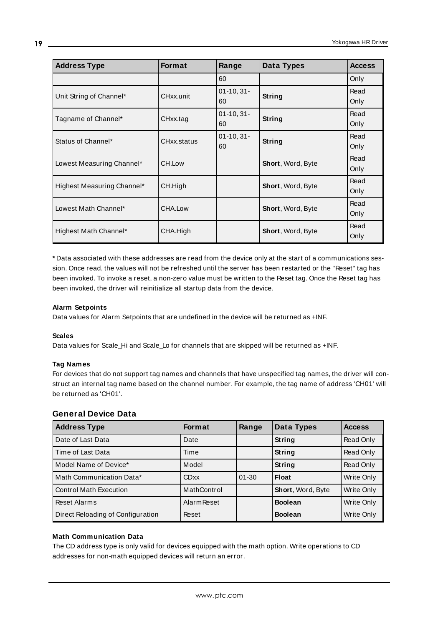| <b>Address Type</b>        | <b>Format</b> | Range              | Data Types        | <b>Access</b> |
|----------------------------|---------------|--------------------|-------------------|---------------|
|                            |               | 60                 |                   | Only          |
| Unit String of Channel*    | CHxx.unit     | $01-10, 31-$<br>60 | String            | Read<br>Only  |
| Tagname of Channel*        | CHxx.tag      | $01-10, 31-$<br>60 | String            | Read<br>Only  |
| Status of Channel*         | CHxx.status   | $01-10, 31-$<br>60 | String            | Read<br>Only  |
| Lowest Measuring Channel*  | CH.Low        |                    | Short, Word, Byte | Read<br>Only  |
| Highest Measuring Channel* | CH.High       |                    | Short, Word, Byte | Read<br>Only  |
| Lowest Math Channel*       | CHA.Low       |                    | Short, Word, Byte | Read<br>Only  |
| Highest Math Channel*      | CHA.High      |                    | Short, Word, Byte | Read<br>Only  |

**\*** Data associated with these addresses are read from the device only at the start of a communications session. Once read, the values will not be refreshed until the server has been restarted or the "Reset" tag has been invoked. To invoke a reset, a non-zero value must be written to the Reset tag. Once the Reset tag has been invoked, the driver will reinitialize all startup data from the device.

#### **Alarm Setpoints**

Data values for Alarm Setpoints that are undefined in the device will be returned as +INF.

#### **Scales**

Data values for Scale\_Hi and Scale\_Lo for channels that are skipped will be returned as +INF.

#### **Tag Names**

For devices that do not support tag names and channels that have unspecified tag names, the driver will construct an internal tag name based on the channel number. For example, the tag name of address 'CH01' will be returned as 'CH01'.

# **General Device Data**

| <b>Address Type</b>               | <b>Format</b>      | Range     | <b>Data Types</b> | <b>Access</b> |
|-----------------------------------|--------------------|-----------|-------------------|---------------|
| Date of Last Data                 | Date               |           | String            | Read Only     |
| Time of Last Data                 | Time               |           | String            | Read Only     |
| Model Name of Device*             | Model              |           | String            | Read Only     |
| Math Communication Data*          | <b>CDxx</b>        | $01 - 30$ | <b>Float</b>      | Write Only    |
| <b>Control Math Execution</b>     | MathControl        |           | Short, Word, Byte | Write Only    |
| <b>Reset Alarms</b>               | <b>Alarm Reset</b> |           | <b>Boolean</b>    | Write Only    |
| Direct Reloading of Configuration | Reset              |           | <b>Boolean</b>    | Write Only    |

#### **Math Communication Data**

The CD address type is only valid for devices equipped with the math option. Write operations to CD addresses for non-math equipped devices will return an error.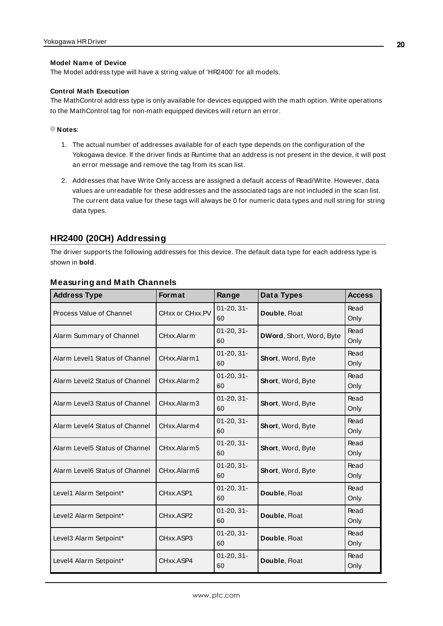#### **Model Name of Device**

The Model address type will have a string value of 'HR2400' for all models.

#### **Control Math Execution**

The MathControl address type is only available for devices equipped with the math option. Write operations to the MathControl tag for non-math equipped devices will return an error.

#### **Notes**:

- 1. The actual number of addresses available for of each type depends on the configuration of the Yokogawa device. If the driver finds at Runtime that an address is not present in the device, it will post an error message and remove the tag from its scan list.
- 2. Addresses that have Write Only access are assigned a default access of Read/Write. However, data values are unreadable for these addresses and the associated tags are not included in the scan list. The current data value for these tags will always be 0 for numeric data types and null string for string data types.

# <span id="page-19-0"></span>**HR2400 (20CH) Addressing**

The driver supports the following addresses for this device. The default data type for each address type is shown in **bold**.

| <b>Address Type</b>            | <b>Format</b>   | Range                 | Data Types               | <b>Access</b> |
|--------------------------------|-----------------|-----------------------|--------------------------|---------------|
| Process Value of Channel       | CHxx or CHxx.PV | $01 - 20, 31 -$<br>60 | Double, Float            | Read<br>Only  |
| Alarm Summary of Channel       | CHxx.Alarm      | $01 - 20, 31 -$<br>60 | DWord, Short, Word, Byte | Read<br>Only  |
| Alarm Level1 Status of Channel | CHxx.Alarm1     | $01-20, 31-$<br>60    | Short, Word, Byte        | Read<br>Only  |
| Alarm Level2 Status of Channel | CHxx.Alarm2     | $01 - 20, 31 -$<br>60 | <b>Short, Word, Byte</b> | Read<br>Only  |
| Alarm Level3 Status of Channel | CHxx.Alarm3     | $01 - 20, 31 -$<br>60 | Short, Word, Byte        | Read<br>Only  |
| Alarm Level4 Status of Channel | CHxx.Alarm4     | $01 - 20, 31 -$<br>60 | Short, Word, Byte        | Read<br>Only  |
| Alarm Level5 Status of Channel | CHxx.Alarm5     | $01 - 20, 31 -$<br>60 | Short, Word, Byte        | Read<br>Only  |
| Alarm Level6 Status of Channel | CHxx.Alarm6     | $01 - 20, 31 -$<br>60 | Short, Word, Byte        | Read<br>Only  |
| Level1 Alarm Setpoint*         | CHxx.ASP1       | $01 - 20, 31 -$<br>60 | Double, Float            | Read<br>Only  |
| Level2 Alarm Setpoint*         | CHxx.ASP2       | $01 - 20, 31 -$<br>60 | Double, Float            | Read<br>Only  |
| Level3 Alarm Setpoint*         | CHxx.ASP3       | $01 - 20, 31 -$<br>60 | Double, Float            | Read<br>Only  |
| Level4 Alarm Setpoint*         | CHxx.ASP4       | $01 - 20, 31 -$<br>60 | Double, Float            | Read<br>Only  |

# **Measuring and Math Channels**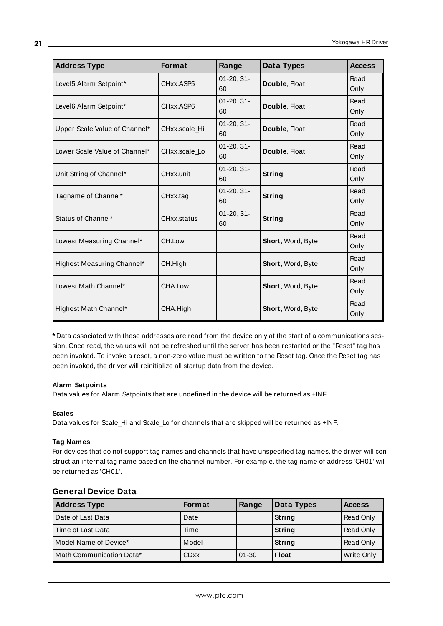| <b>Address Type</b>           | Format        | Range                 | Data Types        | <b>Access</b> |
|-------------------------------|---------------|-----------------------|-------------------|---------------|
| Level5 Alarm Setpoint*        | CHxx.ASP5     | $01-20, 31-$<br>60    | Double, Float     | Read<br>Only  |
| Level6 Alarm Setpoint*        | CHxx.ASP6     | $01-20, 31-$<br>60    | Double, Float     | Read<br>Only  |
| Upper Scale Value of Channel* | CHxx.scale_Hi | $01 - 20, 31 -$<br>60 | Double, Float     | Read<br>Only  |
| Lower Scale Value of Channel* | CHxx.scale_Lo | $01-20, 31-$<br>60    | Double, Float     | Read<br>Only  |
| Unit String of Channel*       | CHxx.unit     | $01 - 20, 31 -$<br>60 | String            | Read<br>Only  |
| Tagname of Channel*           | CHxx.tag      | $01 - 20, 31 -$<br>60 | String            | Read<br>Only  |
| Status of Channel*            | CHxx.status   | $01 - 20, 31 -$<br>60 | String            | Read<br>Only  |
| Lowest Measuring Channel*     | CH.Low        |                       | Short, Word, Byte | Read<br>Only  |
| Highest Measuring Channel*    | CH.High       |                       | Short, Word, Byte | Read<br>Only  |
| Lowest Math Channel*          | CHA.Low       |                       | Short, Word, Byte | Read<br>Only  |
| Highest Math Channel*         | CHA.High      |                       | Short, Word, Byte | Read<br>Only  |

**\*** Data associated with these addresses are read from the device only at the start of a communications session. Once read, the values will not be refreshed until the server has been restarted or the "Reset" tag has been invoked. To invoke a reset, a non-zero value must be written to the Reset tag. Once the Reset tag has been invoked, the driver will reinitialize all startup data from the device.

#### **Alarm Setpoints**

Data values for Alarm Setpoints that are undefined in the device will be returned as +INF.

#### **Scales**

Data values for Scale\_Hi and Scale\_Lo for channels that are skipped will be returned as +INF.

#### **Tag Names**

For devices that do not support tag names and channels that have unspecified tag names, the driver will construct an internal tag name based on the channel number. For example, the tag name of address 'CH01' will be returned as 'CH01'.

| <b>Address Type</b>      | <b>Format</b> | Range     | Data Types   | <b>Access</b> |
|--------------------------|---------------|-----------|--------------|---------------|
| Date of Last Data        | Date          |           | String       | Read Only     |
| Time of Last Data        | Time          |           | String       | Read Only     |
| Model Name of Device*    | Model         |           | String       | Read Only     |
| Math Communication Data* | <b>CDxx</b>   | $01 - 30$ | <b>Float</b> | Write Only    |

#### **General Device Data**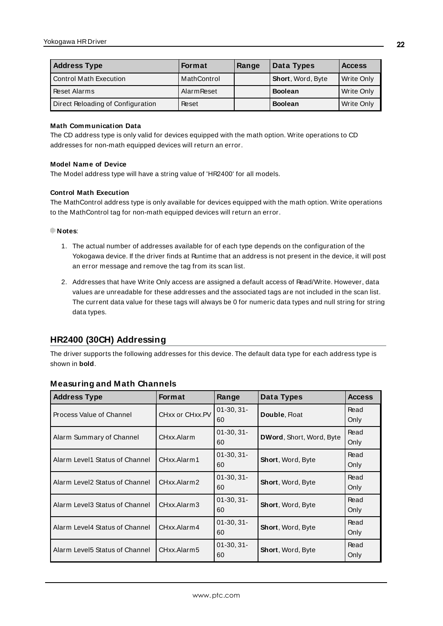| <b>Address Type</b>               | <b>Format</b>      | Range | Data Types        | <b>Access</b> |
|-----------------------------------|--------------------|-------|-------------------|---------------|
| Control Math Execution            | MathControl        |       | Short, Word, Byte | Write Only    |
| <b>Reset Alarms</b>               | <b>Alarm Reset</b> |       | <b>Boolean</b>    | Write Only    |
| Direct Reloading of Configuration | Reset              |       | <b>Boolean</b>    | Write Only    |

#### **Math Communication Data**

The CD address type is only valid for devices equipped with the math option. Write operations to CD addresses for non-math equipped devices will return an error.

#### **Model Name of Device**

The Model address type will have a string value of 'HR2400' for all models.

#### **Control Math Execution**

The MathControl address type is only available for devices equipped with the math option. Write operations to the MathControl tag for non-math equipped devices will return an error.

#### **Notes**:

- 1. The actual number of addresses available for of each type depends on the configuration of the Yokogawa device. If the driver finds at Runtime that an address is not present in the device, it will post an error message and remove the tag from its scan list.
- 2. Addresses that have Write Only access are assigned a default access of Read/Write. However, data values are unreadable for these addresses and the associated tags are not included in the scan list. The current data value for these tags will always be 0 for numeric data types and null string for string data types.

# <span id="page-21-0"></span>**HR2400 (30CH) Addressing**

The driver supports the following addresses for this device. The default data type for each address type is shown in **bold**.

| <b>Address Type</b>             | Format          | Range              | Data Types               | <b>Access</b> |
|---------------------------------|-----------------|--------------------|--------------------------|---------------|
| Process Value of Channel        | CHxx or CHxx.PV | $01-30, 31-$<br>60 | Double, Float            | Read<br>Only  |
| Alarm Summary of Channel        | CHxx.Alarm      | $01-30, 31-$<br>60 | DWord, Short, Word, Byte | Read<br>Only  |
| Alarm Level1 Status of Channel  | CHxx.Alarm1     | $01-30, 31-$<br>60 | Short, Word, Byte        | Read<br>Only  |
| Alarm Level2 Status of Channel  | CHxx.Alarm2     | $01-30, 31-$<br>60 | Short, Word, Byte        | Read<br>Only  |
| Alarm Level3 Status of Channel  | CHxx.Alarm3     | $01-30.31-$<br>60  | Short, Word, Byte        | Read<br>Only  |
| Alarm Level4 Status of Channel  | CHxx.Alarm4     | $01-30.31-$<br>60  | <b>Short, Word, Byte</b> | Read<br>Only  |
| Alarm Level 5 Status of Channel | CHxx.Alarm5     | $01-30.31-$<br>60  | <b>Short, Word, Byte</b> | Read<br>Only  |

#### **Measuring and Math Channels**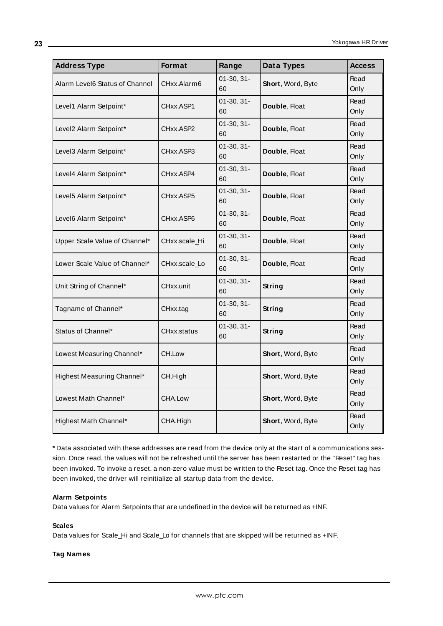| <b>Address Type</b>            | Format        | Range              | <b>Data Types</b> | <b>Access</b> |
|--------------------------------|---------------|--------------------|-------------------|---------------|
| Alarm Level6 Status of Channel | CHxx.Alarm6   | $01-30, 31-$<br>60 | Short, Word, Byte | Read<br>Only  |
| Level1 Alarm Setpoint*         | CHxx.ASP1     | $01-30, 31-$<br>60 | Double, Float     | Read<br>Only  |
| Level2 Alarm Setpoint*         | CHxx.ASP2     | $01-30, 31-$<br>60 | Double, Float     | Read<br>Only  |
| Level3 Alarm Setpoint*         | CHxx.ASP3     | $01-30, 31-$<br>60 | Double, Float     | Read<br>Only  |
| Level4 Alarm Setpoint*         | CHxx.ASP4     | $01-30, 31-$<br>60 | Double, Float     | Read<br>Only  |
| Level5 Alarm Setpoint*         | CHxx.ASP5     | $01-30, 31-$<br>60 | Double, Float     | Read<br>Only  |
| Level6 Alarm Setpoint*         | CHxx.ASP6     | $01-30, 31-$<br>60 | Double, Float     | Read<br>Only  |
| Upper Scale Value of Channel*  | CHxx.scale_Hi | $01-30, 31-$<br>60 | Double, Float     | Read<br>Only  |
| Lower Scale Value of Channel*  | CHxx.scale Lo | $01-30, 31-$<br>60 | Double, Float     | Read<br>Only  |
| Unit String of Channel*        | CHxx.unit     | $01-30, 31-$<br>60 | String            | Read<br>Only  |
| Tagname of Channel*            | CHxx.tag      | $01-30, 31-$<br>60 | String            | Read<br>Only  |
| Status of Channel*             | CHxx.status   | $01-30, 31-$<br>60 | <b>String</b>     | Read<br>Only  |
| Lowest Measuring Channel*      | CH.Low        |                    | Short, Word, Byte | Read<br>Only  |
| Highest Measuring Channel*     | CH.High       |                    | Short, Word, Byte | Read<br>Only  |
| Lowest Math Channel*           | CHA.Low       |                    | Short, Word, Byte | Read<br>Only  |
| Highest Math Channel*          | CHA.High      |                    | Short, Word, Byte | Read<br>Only  |

**\*** Data associated with these addresses are read from the device only at the start of a communications session. Once read, the values will not be refreshed until the server has been restarted or the "Reset" tag has been invoked. To invoke a reset, a non-zero value must be written to the Reset tag. Once the Reset tag has been invoked, the driver will reinitialize all startup data from the device.

#### **Alarm Setpoints**

Data values for Alarm Setpoints that are undefined in the device will be returned as +INF.

#### **Scales**

Data values for Scale\_Hi and Scale\_Lo for channels that are skipped will be returned as +INF.

#### **Tag Names**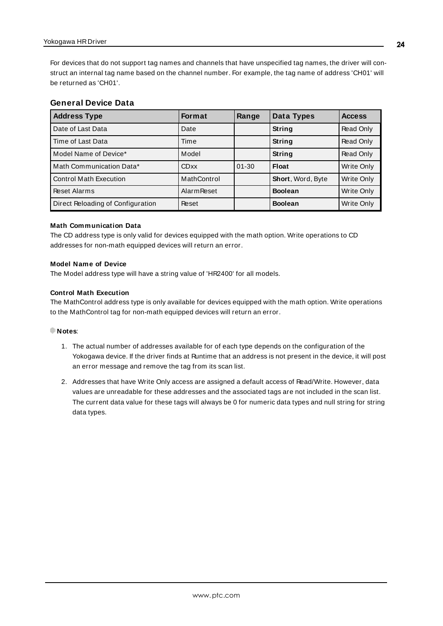For devices that do not support tag names and channels that have unspecified tag names, the driver will construct an internal tag name based on the channel number. For example, the tag name of address 'CH01' will be returned as 'CH01'.

#### **General Device Data**

| <b>Address Type</b>               | <b>Format</b>      | Range     | Data Types               | <b>Access</b> |
|-----------------------------------|--------------------|-----------|--------------------------|---------------|
| Date of Last Data                 | Date               |           | String                   | Read Only     |
| Time of Last Data                 | Time               |           | String                   | Read Only     |
| Model Name of Device*             | Model              |           | String                   | Read Only     |
| Math Communication Data*          | CDxx               | $01 - 30$ | <b>Float</b>             | Write Only    |
| <b>Control Math Execution</b>     | MathControl        |           | <b>Short, Word, Byte</b> | Write Only    |
| Reset Alarms                      | <b>Alarm Reset</b> |           | <b>Boolean</b>           | Write Only    |
| Direct Reloading of Configuration | Reset              |           | <b>Boolean</b>           | Write Only    |

#### **Math Communication Data**

The CD address type is only valid for devices equipped with the math option. Write operations to CD addresses for non-math equipped devices will return an error.

#### **Model Name of Device**

The Model address type will have a string value of 'HR2400' for all models.

#### **Control Math Execution**

The MathControl address type is only available for devices equipped with the math option. Write operations to the MathControl tag for non-math equipped devices will return an error.

#### **Notes**:

- 1. The actual number of addresses available for of each type depends on the configuration of the Yokogawa device. If the driver finds at Runtime that an address is not present in the device, it will post an error message and remove the tag from its scan list.
- 2. Addresses that have Write Only access are assigned a default access of Read/Write. However, data values are unreadable for these addresses and the associated tags are not included in the scan list. The current data value for these tags will always be 0 for numeric data types and null string for string data types.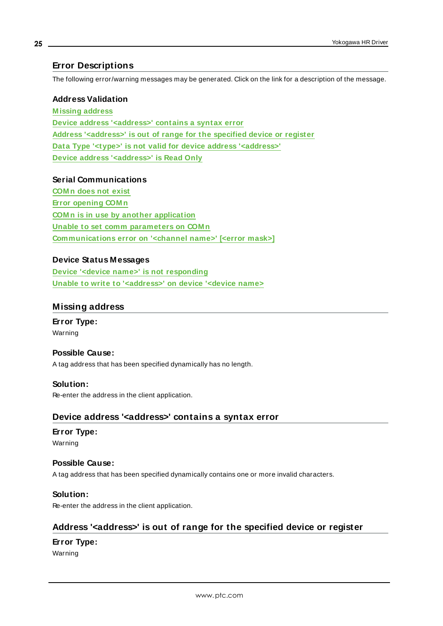# <span id="page-24-0"></span>**Error Descriptions**

The following error/warning messages may be generated. Click on the link for a description of the message.

#### **Address Validation**

**[M issing](#page-24-1) address Device address ['<address>'](#page-24-2) contains a syntax error Address ['<address>'](#page-24-3) is out of range for the specified device or register Data Type '<type>' is not valid for device address ['<address>'](#page-25-0) Device address ['<address>'](#page-25-1) is Read Only**

#### **Serial Communications**

**[COM n](#page-25-2) does not exist Error [opening](#page-25-3) COM n COM n is in use by another [application](#page-26-0) Unable to set comm [parameters](#page-26-1) on COM n [Communications](#page-26-2) error on '<channel name>' [<error mask>]**

# **Device Status Messages**

**Device '<device name>' is not [responding](#page-27-0) Unable to write to ['<address>'](#page-27-1) on device '<device name>**

# <span id="page-24-1"></span>**Missing address**

**Error Type:** Warning

#### **Possible Cause:**

A tag address that has been specified dynamically has no length.

#### **Solution:** Re-enter the address in the client application.

# <span id="page-24-2"></span>**Device address '<address>' contains a syntax error**

# **Error Type:**

Warning

# **Possible Cause:** A tag address that has been specified dynamically contains one or more invalid characters.

# **Solution:**

<span id="page-24-3"></span>Re-enter the address in the client application.

# **Address '<address>' is out of range for the specified device or register**

# **Error Type:**

Warning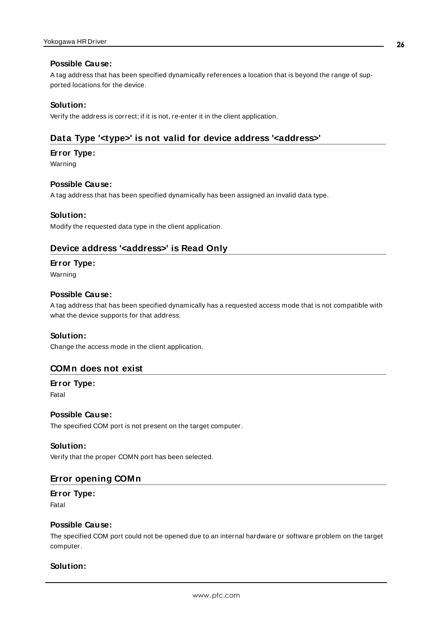#### **Possible Cause:**

A tag address that has been specified dynamically references a location that is beyond the range of supported locations for the device.

## **Solution:**

<span id="page-25-0"></span>Verify the address is correct; if it is not, re-enter it in the client application.

# **Data Type '<type>' is not valid for device address '<address>'**

#### **Error Type:**

Warning

#### **Possible Cause:**

A tag address that has been specified dynamically has been assigned an invalid data type.

#### **Solution:**

<span id="page-25-1"></span>Modify the requested data type in the client application.

# **Device address '<address>' is Read Only**

#### **Error Type:**

Warning

#### **Possible Cause:**

A tag address that has been specified dynamically has a requested access mode that is not compatible with what the device supports for that address.

#### **Solution:**

<span id="page-25-2"></span>Change the access mode in the client application.

#### **COMn does not exist**

**Error Type:** Fatal

#### **Possible Cause:**

The specified COM port is not present on the target computer.

#### **Solution:**

<span id="page-25-3"></span>Verify that the proper COMN port has been selected.

# **Error opening COMn**

#### **Error Type:** Fatal

## **Possible Cause:**

The specified COM port could not be opened due to an internal hardware or software problem on the target computer.

#### **Solution:**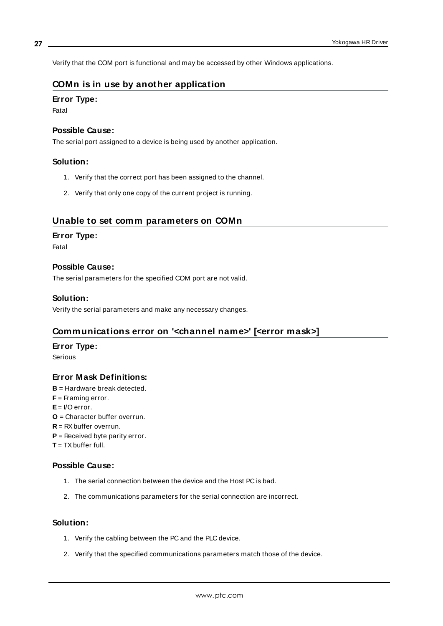<span id="page-26-0"></span>Verify that the COM port is functional and may be accessed by other Windows applications.

# **COMn is in use by another application**

#### **Error Type:**

Fatal

#### **Possible Cause:**

The serial port assigned to a device is being used by another application.

#### **Solution:**

- 1. Verify that the correct port has been assigned to the channel.
- 2. Verify that only one copy of the current project is running.

# <span id="page-26-1"></span>**Unable to set comm parameters on COMn**

#### **Error Type:**

Fatal

#### **Possible Cause:**

The serial parameters for the specified COM port are not valid.

#### **Solution:**

<span id="page-26-2"></span>Verify the serial parameters and make any necessary changes.

# **Communications error on '<channel name>' [<error mask>]**

#### **Error Type:**

Serious

# **Error Mask Definitions:**

- **B** = Hardware break detected.
- **F** = Framing error.
- **E**= I/O error.
- **O** = Character buffer overrun.
- **R** = RXbuffer overrun.
- **P** = Received byte parity error.
- $T = TX$  buffer full.

#### **Possible Cause:**

- 1. The serial connection between the device and the Host PC is bad.
- 2. The communications parameters for the serial connection are incorrect.

# **Solution:**

- 1. Verify the cabling between the PC and the PLC device.
- 2. Verify that the specified communications parameters match those of the device.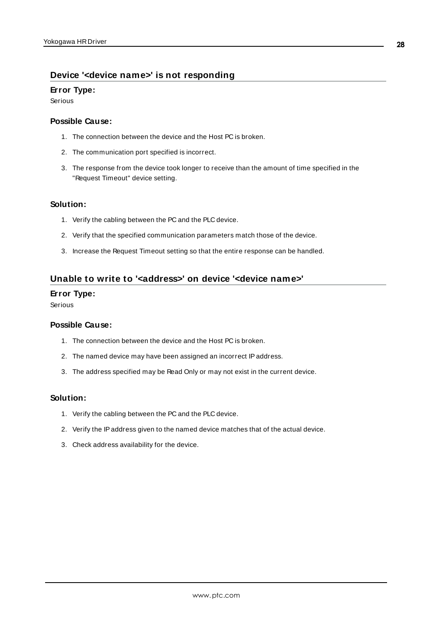# <span id="page-27-0"></span>**Device '<device name>' is not responding**

#### **Error Type:**

Serious

## **Possible Cause:**

- 1. The connection between the device and the Host PC is broken.
- 2. The communication port specified is incorrect.
- 3. The response from the device took longer to receive than the amount of time specified in the "Request Timeout" device setting.

#### **Solution:**

- 1. Verify the cabling between the PC and the PLC device.
- 2. Verify that the specified communication parameters match those of the device.
- 3. Increase the Request Timeout setting so that the entire response can be handled.

# <span id="page-27-1"></span>**Unable to write to '<address>' on device '<device name>'**

#### **Error Type:**

Serious

### **Possible Cause:**

- 1. The connection between the device and the Host PC is broken.
- 2. The named device may have been assigned an incorrect IPaddress.
- 3. The address specified may be Read Only or may not exist in the current device.

#### **Solution:**

- 1. Verify the cabling between the PC and the PLC device.
- 2. Verify the IPaddress given to the named device matches that of the actual device.
- 3. Check address availability for the device.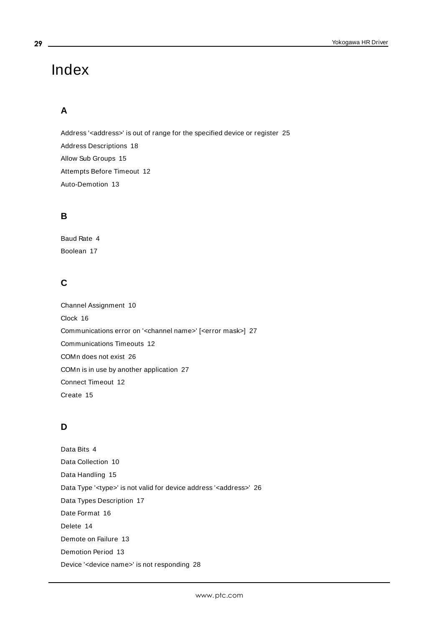# <span id="page-28-0"></span>Index

# **A**

Address '<address>' is out of range for the specified device or register [25](#page-24-3) Address Descriptions [18](#page-17-0) Allow Sub Groups [15](#page-14-1) Attempts Before Timeout [12](#page-11-1) Auto-Demotion [13](#page-12-0)

# **B**

Baud Rate [4](#page-3-2) Boolean [17](#page-16-1)

# **C**

Channel Assignment [10](#page-9-1) Clock [16](#page-15-1) Communications error on '<channel name>' [<error mask>] [27](#page-26-2) Communications Timeouts [12](#page-11-2) COMn does not exist [26](#page-25-2) COMn is in use by another application [27](#page-26-0) Connect Timeout [12](#page-11-3) Create [15](#page-14-2)

# **D**

Data Bits [4](#page-3-3) Data Collection [10](#page-9-2) Data Handling [15](#page-14-3) Data Type '<type>' is not valid for device address '<aaddress>' [26](#page-25-0) Data Types Description [17](#page-16-0) Date Format [16](#page-15-2) Delete [14](#page-13-0) Demote on Failure [13](#page-12-2) Demotion Period [13](#page-12-3) Device '<device name>' is not responding [28](#page-27-0)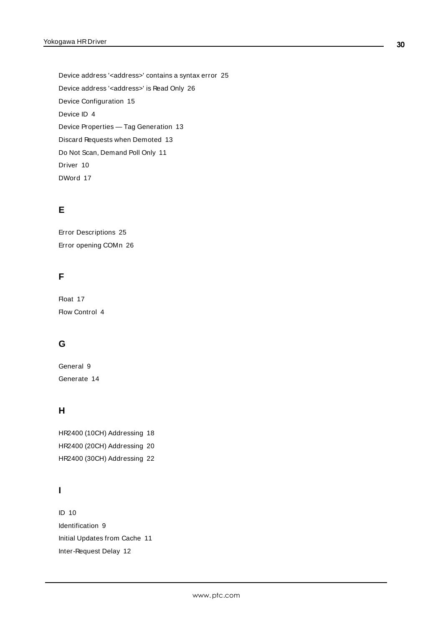Device address '< address>' contains a syntax error [25](#page-24-2) Device address '< address>' is Read Only [26](#page-25-1) Device Configuration [15](#page-14-0) Device ID [4](#page-3-4) Device Properties — Tag Generation [13](#page-12-1) Discard Requests when Demoted [13](#page-12-4) Do Not Scan, Demand Poll Only [11](#page-10-1) Driver [10](#page-9-3) DWord [17](#page-16-2)

# **E**

Error Descriptions [25](#page-24-0) Error opening COMn [26](#page-25-3)

# **F**

Float [17](#page-16-3) Flow Control [4](#page-3-5)

# **G**

General [9](#page-8-1) Generate [14](#page-13-1)

# **H**

HR2400 (10CH) Addressing [18](#page-17-1) HR2400 (20CH) Addressing [20](#page-19-0) HR2400 (30CH) Addressing [22](#page-21-0)

# **I**

ID [10](#page-9-4) Identification [9](#page-8-1) Initial Updates from Cache [11](#page-10-2) Inter-Request Delay [12](#page-11-4)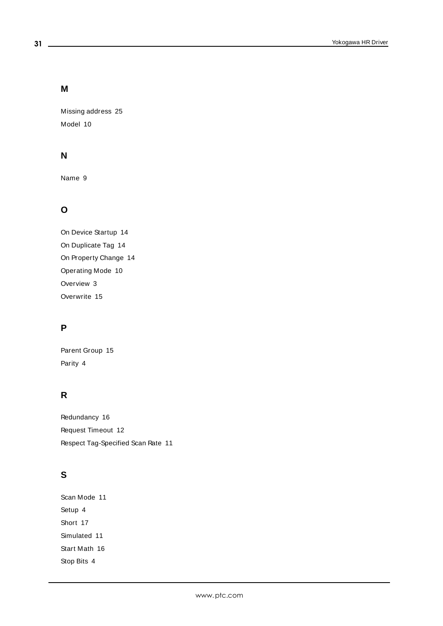# **M**

Missing address [25](#page-24-1) Model [10](#page-9-5)

# **N**

Name [9](#page-8-2)

# **O**

On Device Startup [14](#page-13-2) On Duplicate Tag [14](#page-13-3) On Property Change [14](#page-13-4) Operating Mode [10](#page-9-0) Overview [3](#page-2-1) Overwrite [15](#page-14-4)

# **P**

Parent Group [15](#page-14-5) Parity [4](#page-3-6)

# **R**

Redundancy [16](#page-15-0) Request Timeout [12](#page-11-5) Respect Tag-Specified Scan Rate [11](#page-10-3)

# **S**

Scan Mode [11](#page-10-4) Setup [4](#page-3-0) Short [17](#page-16-4) Simulated [11](#page-10-5) Start Math [16](#page-15-3) Stop Bits [4](#page-3-7)